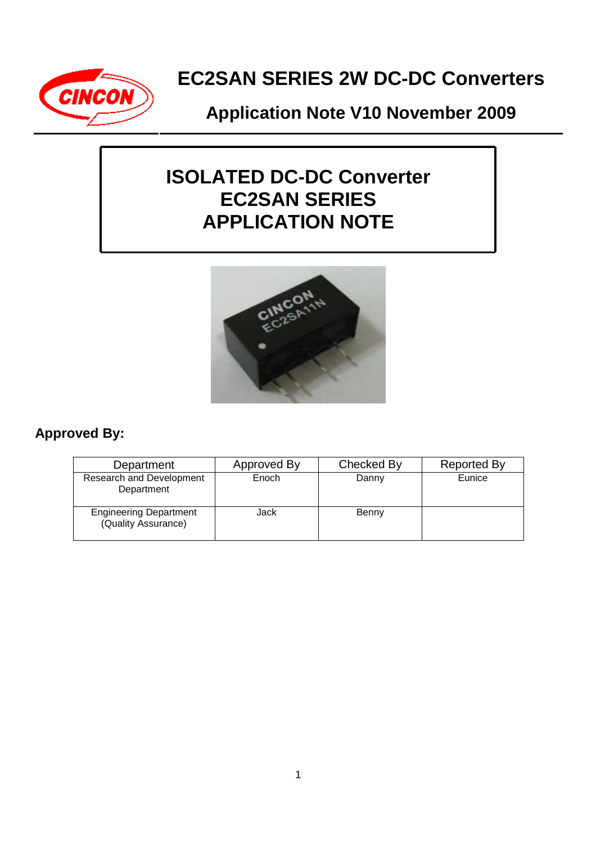

## **Application Note V10 November 2009**

# **ISOLATED DC-DC Converter EC2SAN SERIES APPLICATION NOTE**



## **Approved By:**

| Department                                           | Approved By | Checked By | <b>Reported By</b> |
|------------------------------------------------------|-------------|------------|--------------------|
| Research and Development<br>Department               | Enoch       | Danny      | Eunice             |
| <b>Engineering Department</b><br>(Quality Assurance) | Jack        | Benny      |                    |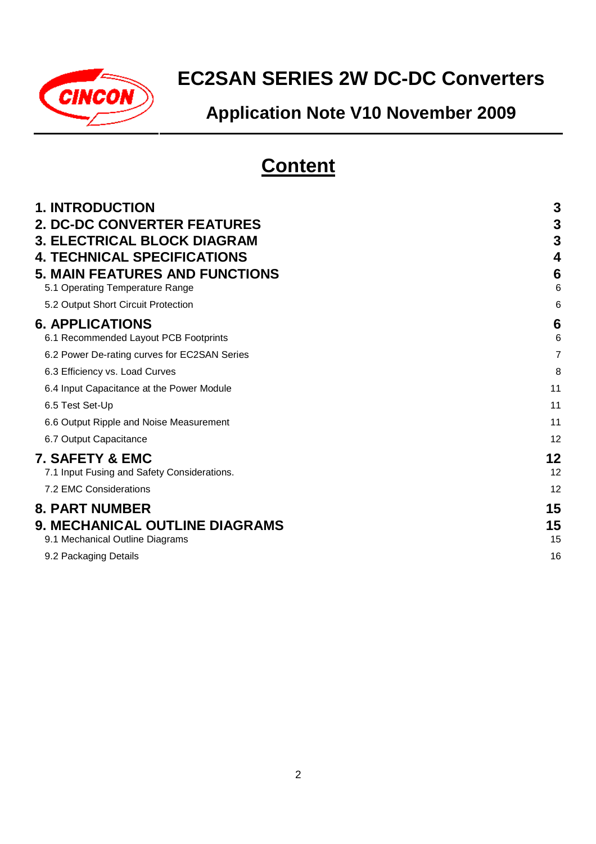

# **Application Note V10 November 2009**

# **Content**

| <b>1. INTRODUCTION</b>                       | 3  |
|----------------------------------------------|----|
| <b>2. DC-DC CONVERTER FEATURES</b>           | 3  |
| <b>3. ELECTRICAL BLOCK DIAGRAM</b>           | 3  |
| <b>4. TECHNICAL SPECIFICATIONS</b>           | 4  |
| <b>5. MAIN FEATURES AND FUNCTIONS</b>        | 6  |
| 5.1 Operating Temperature Range              | 6  |
| 5.2 Output Short Circuit Protection          | 6  |
| <b>6. APPLICATIONS</b>                       | 6  |
| 6.1 Recommended Layout PCB Footprints        | 6  |
| 6.2 Power De-rating curves for EC2SAN Series | 7  |
| 6.3 Efficiency vs. Load Curves               | 8  |
| 6.4 Input Capacitance at the Power Module    | 11 |
| 6.5 Test Set-Up                              | 11 |
| 6.6 Output Ripple and Noise Measurement      | 11 |
| 6.7 Output Capacitance                       | 12 |
| 7. SAFETY & EMC                              | 12 |
| 7.1 Input Fusing and Safety Considerations.  | 12 |
| 7.2 EMC Considerations                       | 12 |
| <b>8. PART NUMBER</b>                        | 15 |
| <b>9. MECHANICAL OUTLINE DIAGRAMS</b>        | 15 |
| 9.1 Mechanical Outline Diagrams              | 15 |
| 9.2 Packaging Details                        | 16 |
|                                              |    |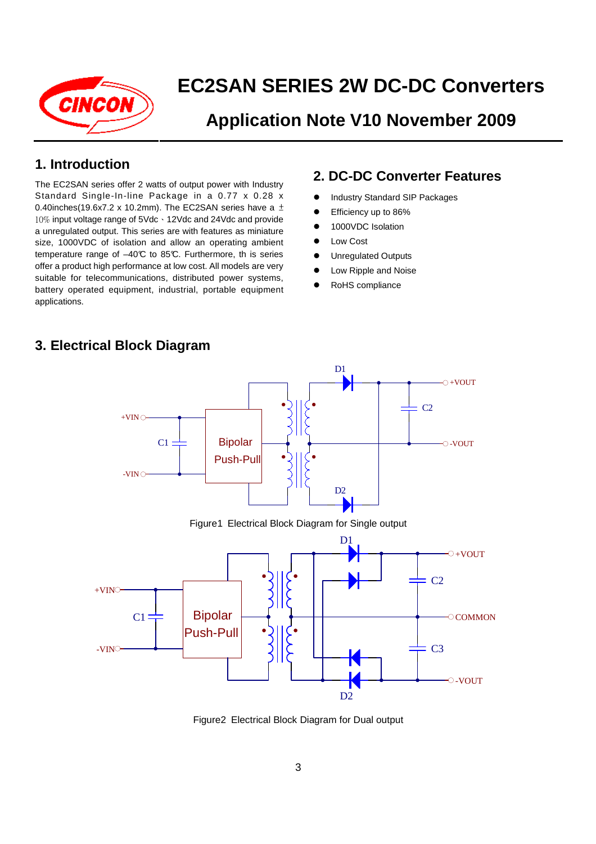

## **Application Note V10 November 2009**

## **1. Introduction**

The EC2SAN series offer 2 watts of output power with Industry Standard Single-In-line Package in a 0.77 x 0.28 x 0.40inches(19.6x7.2 x 10.2mm). The EC2SAN series have a  $\pm$ 10% input voltage range of 5Vdc、12Vdc and 24Vdc and provide a unregulated output. This series are with features as miniature size, 1000VDC of isolation and allow an operating ambient temperature range of  $-40\text{°C}$  to 85°C. Furthermore, th is series offer a product high performance at low cost. All models are very suitable for telecommunications, distributed power systems, battery operated equipment, industrial, portable equipment applications.

## **2. DC-DC Converter Features**

- **•** Industry Standard SIP Packages
- **Efficiency up to 86%**
- 1000VDC Isolation
- **•** Low Cost
- **•** Unregulated Outputs
- Low Ripple and Noise
- RoHS compliance



## **3. Electrical Block Diagram**

Figure2 Electrical Block Diagram for Dual output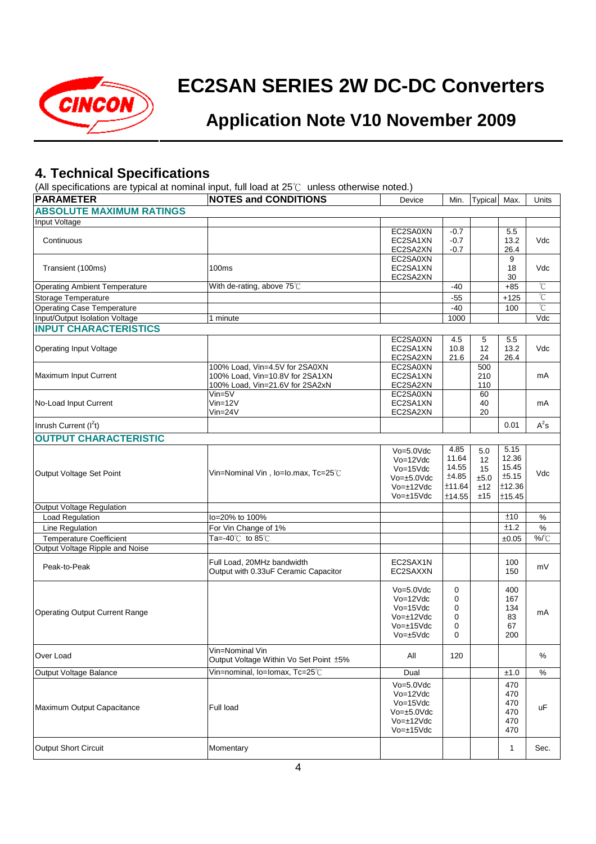

## **Application Note V10 November 2009**

## **4. Technical Specifications**

(All specifications are typical at nominal input, full load at 25℃ unless otherwise noted.)

| <b>PARAMETER</b>                      | $\alpha$ in opposition of the typical at Homma impatition foad at $\pm \sigma \circ \alpha$ and $\sigma \circ \sigma$ in $\sigma \circ \sigma$<br><b>NOTES and CONDITIONS</b> | Device                                                                                                  | Min.                                                | Typical                                    | Max.                                                | Units          |
|---------------------------------------|-------------------------------------------------------------------------------------------------------------------------------------------------------------------------------|---------------------------------------------------------------------------------------------------------|-----------------------------------------------------|--------------------------------------------|-----------------------------------------------------|----------------|
| <b>ABSOLUTE MAXIMUM RATINGS</b>       |                                                                                                                                                                               |                                                                                                         |                                                     |                                            |                                                     |                |
| Input Voltage                         |                                                                                                                                                                               |                                                                                                         |                                                     |                                            |                                                     |                |
| Continuous                            |                                                                                                                                                                               | EC2SA0XN<br>EC2SA1XN<br>EC2SA2XN                                                                        | $-0.7$<br>$-0.7$<br>$-0.7$                          |                                            | 5.5<br>13.2<br>26.4                                 | Vdc            |
| Transient (100ms)                     | 100 <sub>ms</sub>                                                                                                                                                             | EC2SA0XN<br>EC2SA1XN<br>EC2SA2XN                                                                        |                                                     |                                            | 9<br>18<br>30                                       | Vdc            |
| <b>Operating Ambient Temperature</b>  | With de-rating, above 75°C                                                                                                                                                    |                                                                                                         | $-40$                                               |                                            | $+85$                                               | °C             |
| Storage Temperature                   |                                                                                                                                                                               |                                                                                                         | $-55$                                               |                                            | $+125$                                              | $\overline{C}$ |
| Operating Case Temperature            |                                                                                                                                                                               |                                                                                                         | $-40$                                               |                                            | 100                                                 | °C             |
| Input/Output Isolation Voltage        | 1 minute                                                                                                                                                                      |                                                                                                         | 1000                                                |                                            |                                                     | Vdc            |
| <b>INPUT CHARACTERISTICS</b>          |                                                                                                                                                                               |                                                                                                         |                                                     |                                            |                                                     |                |
| <b>Operating Input Voltage</b>        |                                                                                                                                                                               | EC2SA0XN<br>EC2SA1XN<br>EC2SA2XN                                                                        | 4.5<br>10.8<br>21.6                                 | 5<br>12<br>24                              | 5.5<br>13.2<br>26.4                                 | Vdc            |
| Maximum Input Current                 | 100% Load, Vin=4.5V for 2SA0XN<br>100% Load, Vin=10.8V for 2SA1XN<br>100% Load, Vin=21.6V for 2SA2xN                                                                          | EC2SA0XN<br>EC2SA1XN<br>EC2SA2XN                                                                        |                                                     | 500<br>210<br>110                          |                                                     | mA             |
| No-Load Input Current                 | Vin=5V<br>$Vin=12V$<br>$V$ in=24 $V$                                                                                                                                          | EC2SA0XN<br>EC2SA1XN<br>EC2SA2XN                                                                        |                                                     | 60<br>40<br>20                             |                                                     | mA             |
| Inrush Current $(I2t)$                |                                                                                                                                                                               |                                                                                                         |                                                     |                                            | 0.01                                                | $A^2s$         |
| <b>OUTPUT CHARACTERISTIC</b>          |                                                                                                                                                                               |                                                                                                         |                                                     |                                            |                                                     |                |
| Output Voltage Set Point              | Vin=Nominal Vin, lo=Io.max, Tc=25°C                                                                                                                                           | $Vo=5.0Vdc$<br>Vo=12Vdc<br>$Vo=15Vdc$<br>$Vo = ±5.0 Vdc$<br>$Vo = \pm 12V$ dc<br>$Vo = ±15Vdc$          | 4.85<br>11.64<br>14.55<br>±4.85<br>±11.64<br>±14.55 | 5.0<br>12<br>15<br>$\pm 5.0$<br>±12<br>±15 | 5.15<br>12.36<br>15.45<br>±5.15<br>±12.36<br>±15.45 | Vdc            |
| <b>Output Voltage Regulation</b>      |                                                                                                                                                                               |                                                                                                         |                                                     |                                            |                                                     |                |
| <b>Load Regulation</b>                | lo=20% to 100%                                                                                                                                                                |                                                                                                         |                                                     |                                            | ±10                                                 | $\%$           |
| Line Regulation                       | For Vin Change of 1%                                                                                                                                                          |                                                                                                         |                                                     |                                            | ±1.2                                                | $\%$           |
| <b>Temperature Coefficient</b>        | Ta=-40 $°C$ to 85 $°C$                                                                                                                                                        |                                                                                                         |                                                     |                                            | ±0.05                                               | %/°C           |
| Output Voltage Ripple and Noise       |                                                                                                                                                                               |                                                                                                         |                                                     |                                            |                                                     |                |
| Peak-to-Peak                          | Full Load, 20MHz bandwidth<br>Output with 0.33uF Ceramic Capacitor                                                                                                            | EC2SAX1N<br>EC2SAXXN                                                                                    |                                                     |                                            | 100<br>150                                          | mV             |
| <b>Operating Output Current Range</b> |                                                                                                                                                                               | $Vo=5.0Vdc$<br>$Vo=12Vdc$<br>$Vo=15Vdc$<br>$Vo = ±12Vdc$<br>$Vo = ±15Vdc$<br>$Vo = \pm 5Vdc$            | 0<br>0<br>0<br>0<br>0<br>0                          |                                            | 400<br>167<br>134<br>83<br>67<br>200                | mA             |
| Over Load                             | Vin=Nominal Vin<br>Output Voltage Within Vo Set Point ±5%                                                                                                                     | All                                                                                                     | 120                                                 |                                            |                                                     | %              |
| Output Voltage Balance                | Vin=nominal, lo=lomax, Tc=25°C                                                                                                                                                | Dual                                                                                                    |                                                     |                                            | ±1.0                                                | $\%$           |
| Maximum Output Capacitance            | <b>Full load</b>                                                                                                                                                              | $Vo=5.0Vdc$<br>$Vo=12Vdc$<br>$Vo=15Vdc$<br>$Vo = \pm 5.0 Vdc$<br>$Vo = \pm 12V$ dc<br>$Vo = \pm 15V$ dc |                                                     |                                            | 470<br>470<br>470<br>470<br>470<br>470              | uF             |
| <b>Output Short Circuit</b>           | Momentary                                                                                                                                                                     |                                                                                                         |                                                     |                                            | $\mathbf{1}$                                        | Sec.           |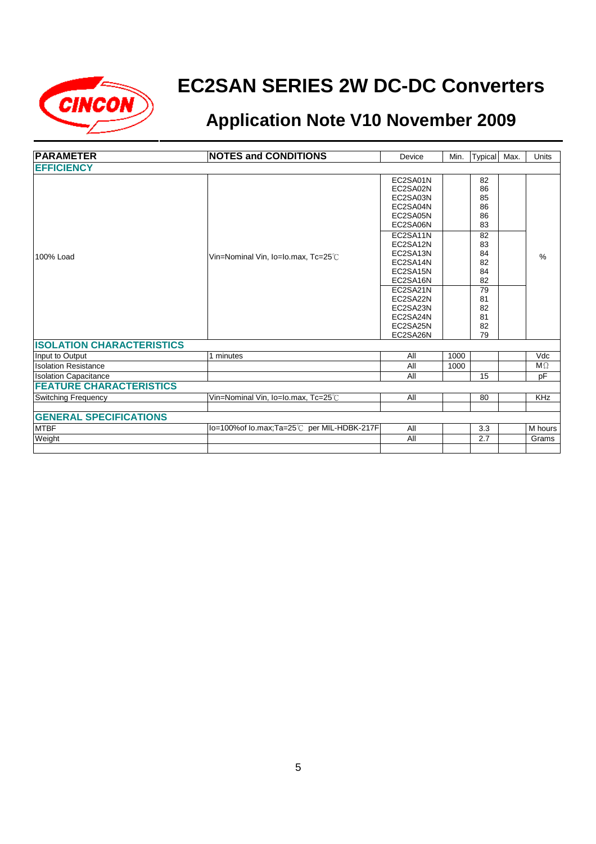

| <b>PARAMETER</b>                 | <b>NOTES and CONDITIONS</b>               | Device                                                                                                                                                                           | Min. | Typical                                                                                             | Max. | <b>Units</b>  |
|----------------------------------|-------------------------------------------|----------------------------------------------------------------------------------------------------------------------------------------------------------------------------------|------|-----------------------------------------------------------------------------------------------------|------|---------------|
| <b>EFFICIENCY</b>                |                                           |                                                                                                                                                                                  |      |                                                                                                     |      |               |
| 100% Load                        | Vin=Nominal Vin, Io=Io.max, Tc=25°C       | EC2SA01N<br>EC2SA02N<br>EC2SA03N<br>EC2SA04N<br>EC2SA05N<br>EC2SA06N<br>EC2SA11N<br>EC2SA12N<br>EC2SA13N<br>EC2SA14N<br>EC2SA15N<br>EC2SA16N<br>EC2SA21N<br>EC2SA22N<br>EC2SA23N |      | 82<br>86<br>85<br>86<br>86<br>83<br>82<br>83<br>84<br>82<br>84<br>82<br>$\overline{79}$<br>81<br>82 |      | $\frac{0}{0}$ |
|                                  |                                           | EC2SA24N<br>EC2SA25N<br>EC2SA26N                                                                                                                                                 |      | 81<br>82<br>79                                                                                      |      |               |
| <b>ISOLATION CHARACTERISTICS</b> |                                           |                                                                                                                                                                                  |      |                                                                                                     |      |               |
| Input to Output                  | 1 minutes                                 | All                                                                                                                                                                              | 1000 |                                                                                                     |      | Vdc           |
| <b>Isolation Resistance</b>      |                                           | All                                                                                                                                                                              | 1000 |                                                                                                     |      | $M\Omega$     |
| <b>Isolation Capacitance</b>     |                                           | All                                                                                                                                                                              |      | 15                                                                                                  |      | рF            |
| <b>FEATURE CHARACTERISTICS</b>   |                                           |                                                                                                                                                                                  |      |                                                                                                     |      |               |
| <b>Switching Frequency</b>       | Vin=Nominal Vin, Io=Io.max, Tc=25°C       | All                                                                                                                                                                              |      | 80                                                                                                  |      | <b>KHz</b>    |
|                                  |                                           |                                                                                                                                                                                  |      |                                                                                                     |      |               |
| <b>GENERAL SPECIFICATIONS</b>    |                                           |                                                                                                                                                                                  |      |                                                                                                     |      |               |
| <b>MTBF</b>                      | lo=100%of lo.max;Ta=25℃ per MIL-HDBK-217F | All                                                                                                                                                                              |      | 3.3                                                                                                 |      | M hours       |
| Weight                           |                                           | All                                                                                                                                                                              |      | 2.7                                                                                                 |      | Grams         |
|                                  |                                           |                                                                                                                                                                                  |      |                                                                                                     |      |               |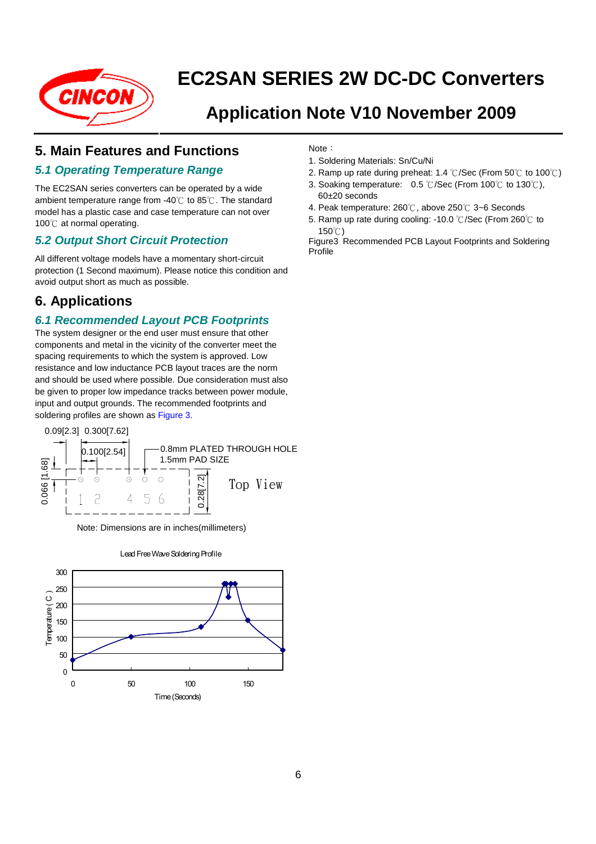

## **Application Note V10 November 2009**

## **5. Main Features and Functions**

### **5.1 Operating Temperature Range**

The EC2SAN series converters can be operated by a wide ambient temperature range from -40 $\degree$  to 85 $\degree$ . The standard model has a plastic case and case temperature can not over 100℃ at normal operating.

### **5.2 Output Short Circuit Protection**

All different voltage models have a momentary short-circuit protection (1 Second maximum). Please notice this condition and avoid output short as much as possible.

## **6. Applications**

### **6.1 Recommended Layout PCB Footprints**

The system designer or the end user must ensure that other components and metal in the vicinity of the converter meet the spacing requirements to which the system is approved. Low resistance and low inductance PCB layout traces are the norm and should be used where possible. Due consideration must also be given to proper low impedance tracks between power module, input and output grounds. The recommended footprints and soldering profiles are shown as Figure 3.



Note: Dimensions are in inches(millimeters)



#### Lead Free Wave Soldering Profile

Note:

- 1. Soldering Materials: Sn/Cu/Ni
- 2. Ramp up rate during preheat: 1.4 ℃/Sec (From 50℃ to 100℃)
- 3. Soaking temperature: 0.5 ℃/Sec (From 100℃ to 130℃), 60±20 seconds
- 4. Peak temperature: 260℃, above 250℃ 3~6 Seconds
- 5. Ramp up rate during cooling: -10.0 ℃/Sec (From 260℃ to 150℃)

Figure3 Recommended PCB Layout Footprints and Soldering Profile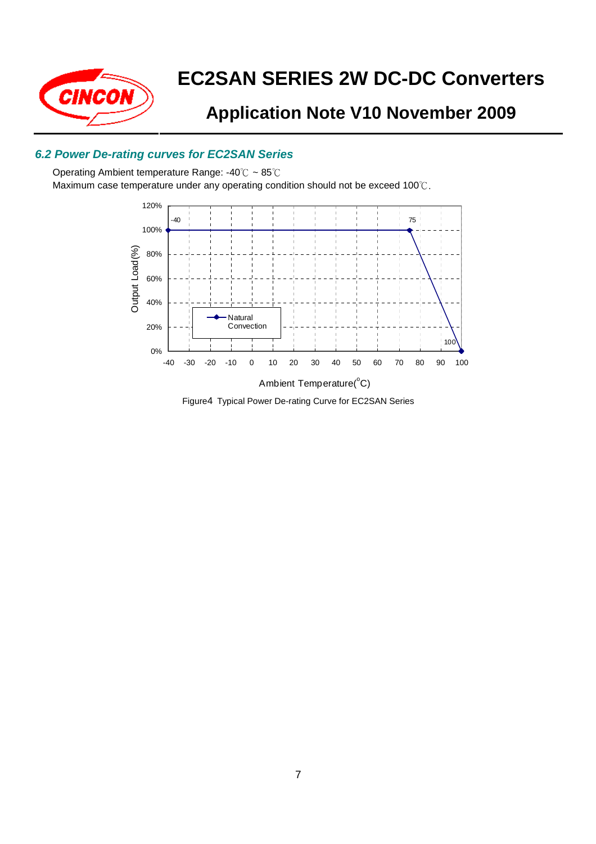

## **Application Note V10 November 2009**

### **6.2 Power De-rating curves for EC2SAN Series**

Operating Ambient temperature Range: -40℃ ~ 85℃ Maximum case temperature under any operating condition should not be exceed 100℃.



Figure4 Typical Power De-rating Curve for EC2SAN Series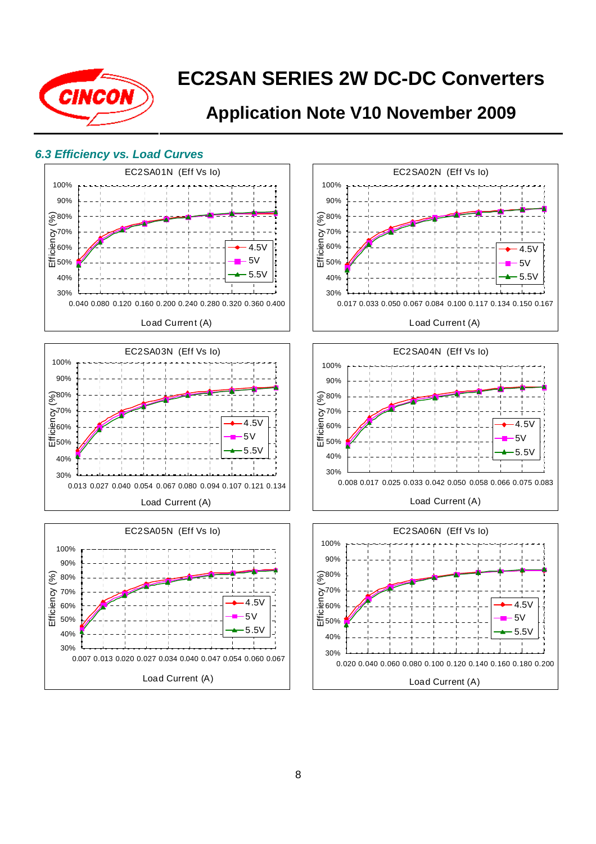

## **Application Note V10 November 2009**

#### **6.3 Efficiency vs. Load Curves**







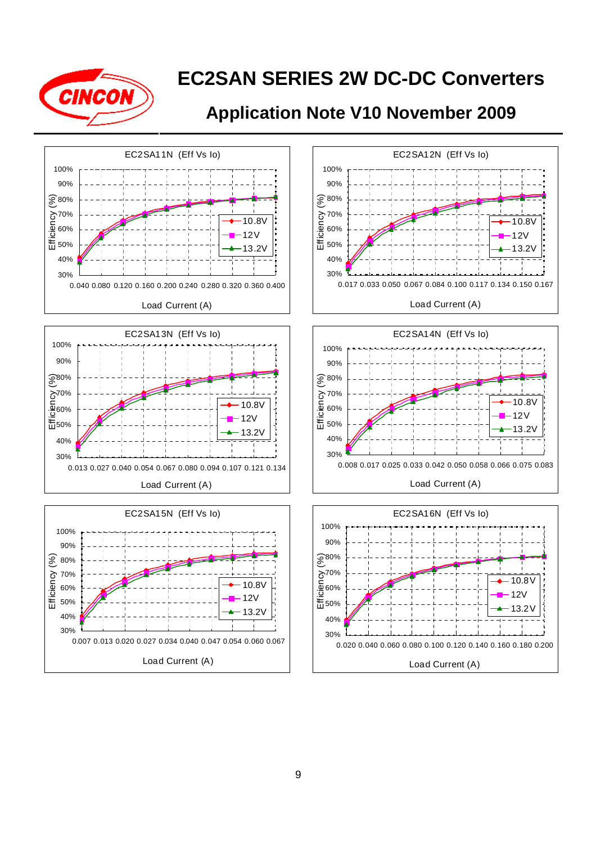

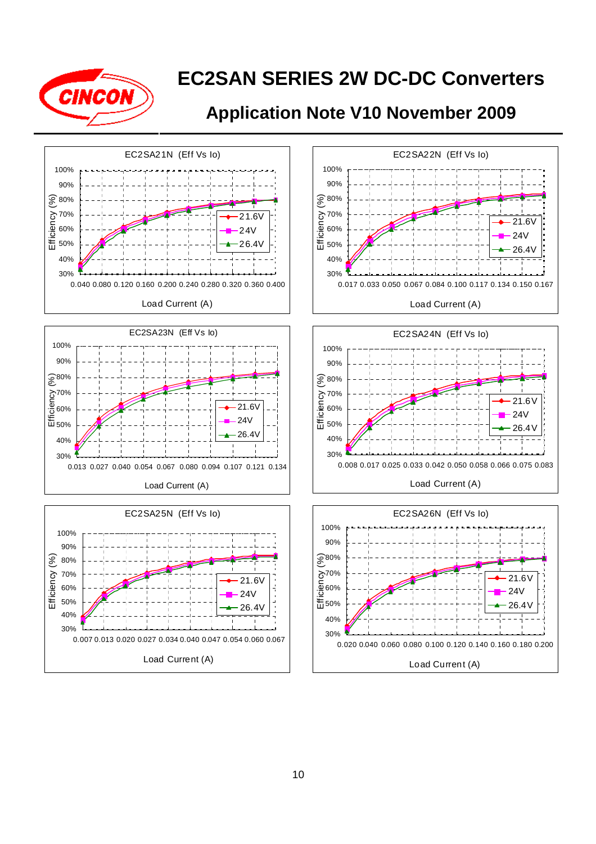

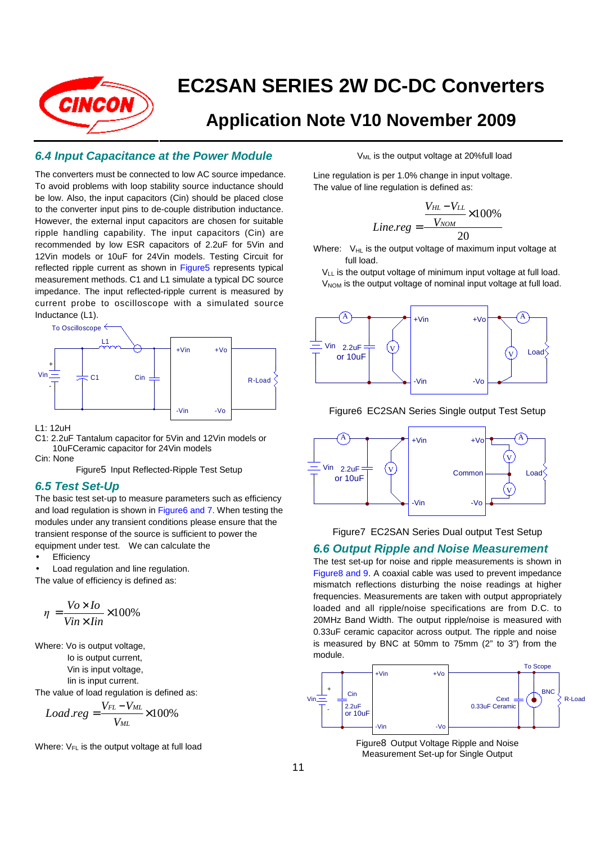

## **Application Note V10 November 2009**

#### **6.4 Input Capacitance at the Power Module**

The converters must be connected to low AC source impedance. To avoid problems with loop stability source inductance should be low. Also, the input capacitors (Cin) should be placed close to the converter input pins to de-couple distribution inductance. However, the external input capacitors are chosen for suitable ripple handling capability. The input capacitors (Cin) are recommended by low ESR capacitors of 2.2uF for 5Vin and 12Vin models or 10uF for 24Vin models. Testing Circuit for reflected ripple current as shown in Figure5 represents typical measurement methods. C1 and L1 simulate a typical DC source impedance. The input reflected-ripple current is measured by current probe to oscilloscope with a simulated source Inductance (L1).



L1: 12uH

C1: 2.2uF Tantalum capacitor for 5Vin and 12Vin models or 10uFCeramic capacitor for 24Vin models Cin: None

Figure5 Input Reflected-Ripple Test Setup

#### **6.5 Test Set-Up**

The basic test set-up to measure parameters such as efficiency and load regulation is shown in Figure6 and 7. When testing the modules under any transient conditions please ensure that the transient response of the source is sufficient to power the equipment under test. We can calculate the

- **Efficiency**
- Load regulation and line regulation.

The value of efficiency is defined as:

$$
\eta = \frac{Vo \times Io}{Vin \times lin} \times 100\%
$$

Where: Vo is output voltage,

Io is output current,

Vin is input voltage,

Iin is input current.

The value of load regulation is defined as:

$$
Load.reg = \frac{V_{FL} - V_{ML}}{V_{ML}} \times 100\%
$$

Where:  $V_{FL}$  is the output voltage at full load

V<sub>ML</sub> is the output voltage at 20%full load

Line regulation is per 1.0% change in input voltage. The value of line regulation is defined as:

$$
Line\text{.reg} = \frac{V_{HL} - V_{LL}}{V_{NOM}} \times 100\%
$$

$$
20
$$

Where:  $V_{HL}$  is the output voltage of maximum input voltage at full load.

 $V_{LL}$  is the output voltage of minimum input voltage at full load.  $V_{NOM}$  is the output voltage of nominal input voltage at full load.



Figure6 EC2SAN Series Single output Test Setup





#### **6.6 Output Ripple and Noise Measurement**

The test set-up for noise and ripple measurements is shown in Figure8 and 9. A coaxial cable was used to prevent impedance mismatch reflections disturbing the noise readings at higher frequencies. Measurements are taken with output appropriately loaded and all ripple/noise specifications are from D.C. to 20MHz Band Width. The output ripple/noise is measured with 0.33uF ceramic capacitor across output. The ripple and noise is measured by BNC at 50mm to 75mm (2" to 3") from the module.



Figure8 Output Voltage Ripple and Noise Measurement Set-up for Single Output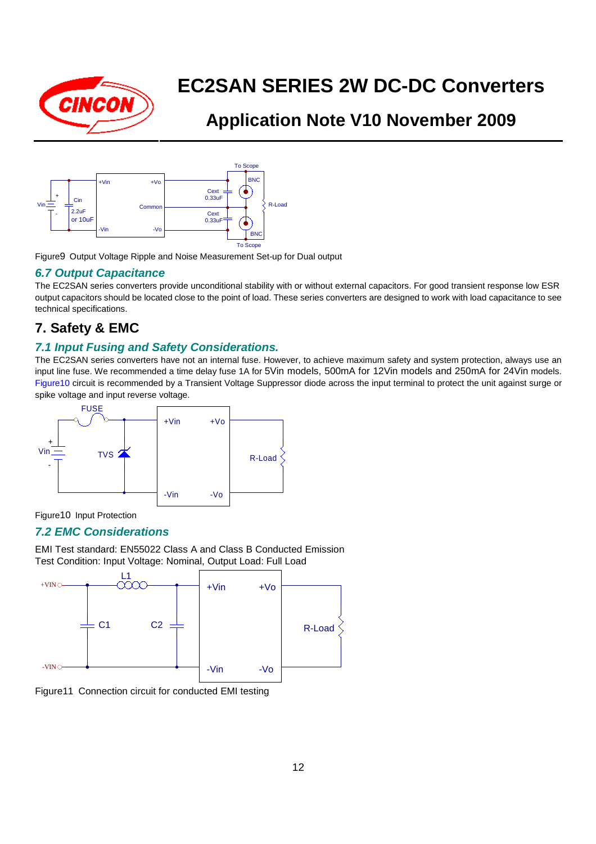

## **Application Note V10 November 2009**



Figure9 Output Voltage Ripple and Noise Measurement Set-up for Dual output

#### **6.7 Output Capacitance**

The EC2SAN series converters provide unconditional stability with or without external capacitors. For good transient response low ESR output capacitors should be located close to the point of load. These series converters are designed to work with load capacitance to see technical specifications.

## **7. Safety & EMC**

### **7.1 Input Fusing and Safety Considerations.**

The EC2SAN series converters have not an internal fuse. However, to achieve maximum safety and system protection, always use an input line fuse. We recommended a time delay fuse 1A for 5Vin models, 500mA for 12Vin models and 250mA for 24Vin models. Figure10 circuit is recommended by a Transient Voltage Suppressor diode across the input terminal to protect the unit against surge or spike voltage and input reverse voltage.



Figure10 Input Protection

### **7.2 EMC Considerations**

EMI Test standard: EN55022 Class A and Class B Conducted Emission Test Condition: Input Voltage: Nominal, Output Load: Full Load



Figure11 Connection circuit for conducted EMI testing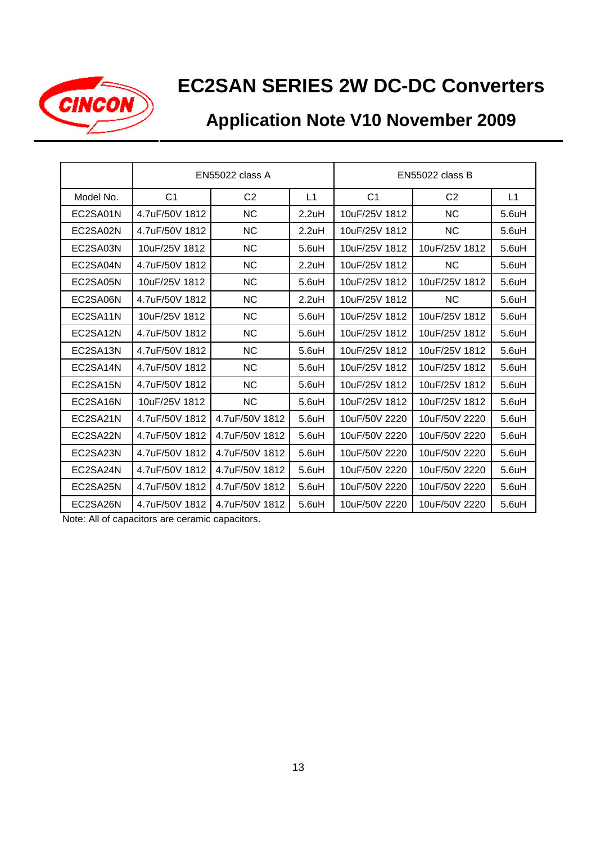

# **Application Note V10 November 2009**

|           | <b>EN55022 class A</b> |                | <b>EN55022 class B</b> |                |                |                    |
|-----------|------------------------|----------------|------------------------|----------------|----------------|--------------------|
| Model No. | C <sub>1</sub>         | C <sub>2</sub> | L1                     | C <sub>1</sub> | C <sub>2</sub> | L1                 |
| EC2SA01N  | 4.7uF/50V 1812         | <b>NC</b>      | 2.2uH                  | 10uF/25V 1812  | <b>NC</b>      | 5.6uH              |
| EC2SA02N  | 4.7uF/50V 1812         | <b>NC</b>      | 2.2uH                  | 10uF/25V 1812  | <b>NC</b>      | $5.6$ uH           |
| EC2SA03N  | 10uF/25V 1812          | <b>NC</b>      | $5.6$ uH               | 10uF/25V 1812  | 10uF/25V 1812  | $5.6$ uH           |
| EC2SA04N  | 4.7uF/50V 1812         | <b>NC</b>      | 2.2uH                  | 10uF/25V 1812  | <b>NC</b>      | 5.6uH              |
| EC2SA05N  | 10uF/25V 1812          | <b>NC</b>      | $5.6$ uH               | 10uF/25V 1812  | 10uF/25V 1812  | $5.6$ uH           |
| EC2SA06N  | 4.7uF/50V 1812         | <b>NC</b>      | 2.2uH                  | 10uF/25V 1812  | <b>NC</b>      | 5.6uH              |
| EC2SA11N  | 10uF/25V 1812          | <b>NC</b>      | 5.6uH                  | 10uF/25V 1812  | 10uF/25V 1812  | $5.6$ uH           |
| EC2SA12N  | 4.7uF/50V 1812         | <b>NC</b>      | $5.6$ uH               | 10uF/25V 1812  | 10uF/25V 1812  | $5.6$ uH           |
| EC2SA13N  | 4.7uF/50V 1812         | <b>NC</b>      | $5.6$ uH               | 10uF/25V 1812  | 10uF/25V 1812  | 5.6uH              |
| EC2SA14N  | 4.7uF/50V 1812         | <b>NC</b>      | $5.6$ uH               | 10uF/25V 1812  | 10uF/25V 1812  | $5.6$ uH           |
| EC2SA15N  | 4.7uF/50V 1812         | <b>NC</b>      | 5.6 <sub>u</sub> H     | 10uF/25V 1812  | 10uF/25V 1812  | 5.6 <sub>u</sub> H |
| EC2SA16N  | 10uF/25V 1812          | <b>NC</b>      | 5.6 <sub>u</sub> H     | 10uF/25V 1812  | 10uF/25V 1812  | $5.6$ uH           |
| EC2SA21N  | 4.7uF/50V 1812         | 4.7uF/50V 1812 | $5.6$ uH               | 10uF/50V 2220  | 10uF/50V 2220  | $5.6$ uH           |
| EC2SA22N  | 4.7uF/50V 1812         | 4.7uF/50V 1812 | 5.6uH                  | 10uF/50V 2220  | 10uF/50V 2220  | 5.6uH              |
| EC2SA23N  | 4.7uF/50V 1812         | 4.7uF/50V 1812 | $5.6$ uH               | 10uF/50V 2220  | 10uF/50V 2220  | 5.6uH              |
| EC2SA24N  | 4.7uF/50V 1812         | 4.7uF/50V 1812 | $5.6$ uH               | 10uF/50V 2220  | 10uF/50V 2220  | $5.6$ uH           |
| EC2SA25N  | 4.7uF/50V 1812         | 4.7uF/50V 1812 | $5.6$ uH               | 10uF/50V 2220  | 10uF/50V 2220  | $5.6$ uH           |
| EC2SA26N  | 4.7uF/50V 1812         | 4.7uF/50V 1812 | 5.6uH                  | 10uF/50V 2220  | 10uF/50V 2220  | $5.6$ uH           |

Note: All of capacitors are ceramic capacitors.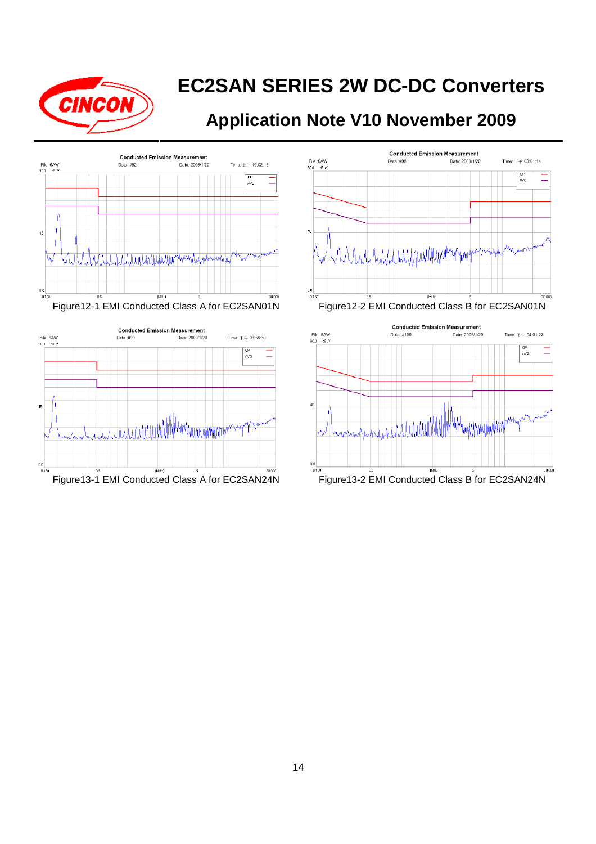







Figure12-1 EMI Conducted Class A for EC2SAN01N Figure12-2 EMI Conducted Class B for EC2SAN01N

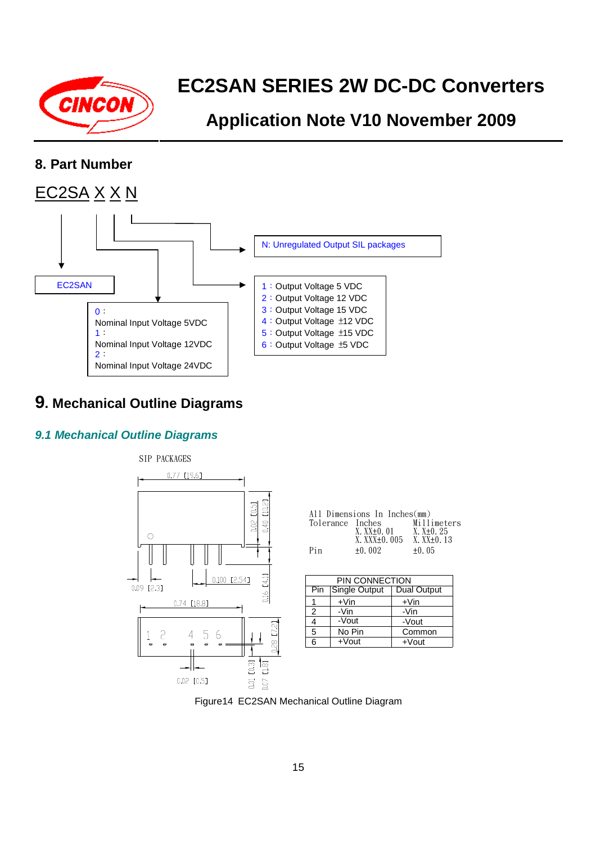

## **Application Note V10 November 2009**

### **8. Part Number**



## **9. Mechanical Outline Diagrams**

### **9.1 Mechanical Outline Diagrams**



|                  | All Dimensions In Inches(mm) |                |
|------------------|------------------------------|----------------|
| Tolerance Inches |                              | Millimeters    |
|                  | $X. XX+0.01$                 | $X. X+0.25$    |
|                  | X. XXX+0. 005                | $X.$ $XX+0.13$ |
| Pin              | $+0.002$                     | $+0.05$        |

| PIN CONNECTION |               |                    |  |
|----------------|---------------|--------------------|--|
| Pin            | Single Output | <b>Dual Output</b> |  |
|                | $+V$ in       | $+V$ in            |  |
| 2              | -Vin          | -Vin               |  |
|                | -Vout         | -Vout              |  |
| 5              | No Pin        | Common             |  |
| 6              | $+$ Vout      | $+$ Vout           |  |

Figure14 EC2SAN Mechanical Outline Diagram